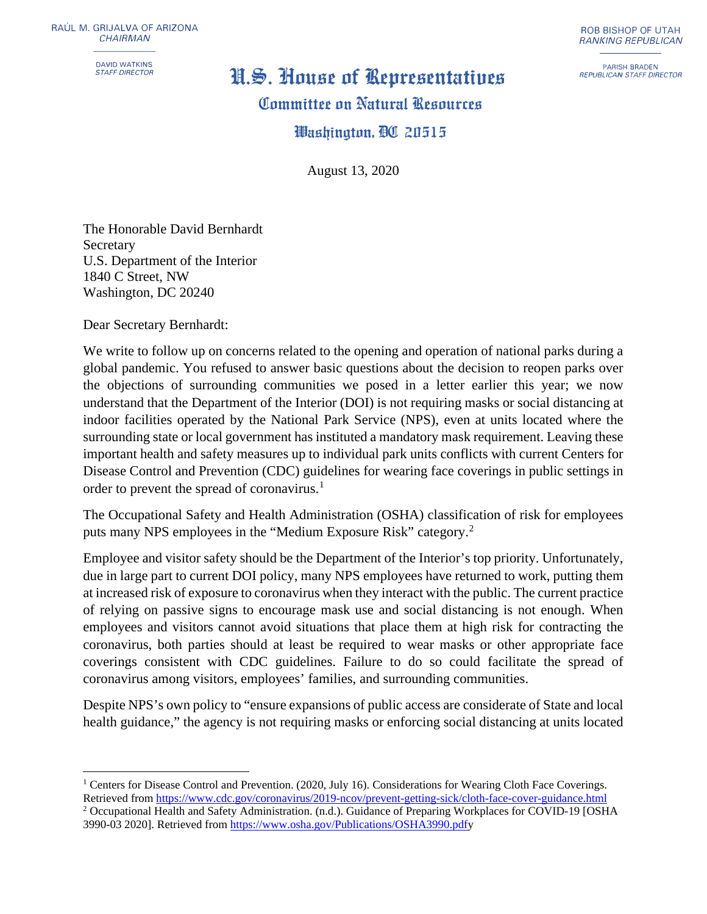RAUL M. GRIJALVA OF ARIZONA *CHAIRMAN* 

DAVID WATKINS<br>STAFF DIRECTOR

## *STAFF DIRECTOR* **N.�. llinus.e nf iR.epr.es.entatiu.es**

## **Committee on Natural Resources**

## **lll!lanltingtnn.** mm **<sup>20515</sup>**

August 13, 2020

The Honorable David Bernhardt Secretary U.S. Department of the Interior 1840 C Street, NW Washington, DC 20240

Dear Secretary Bernhardt:

We write to follow up on concerns related to the opening and operation of national parks during a global pandemic. You refused to answer basic questions about the decision to reopen parks over the objections of surrounding communities we posed in a letter earlier this year; we now understand that the Department of the Interior (DOI) is not requiring masks or social distancing at indoor facilities operated by the National Park Service (NPS), even at units located where the surrounding state or local government has instituted a mandatory mask requirement. Leaving these important health and safety measures up to individual park units conflicts with current Centers for Disease Control and Prevention (CDC) guidelines for wearing face coverings in public settings in order to prevent the spread of coronavirus.<sup>[1](#page-0-0)</sup>

The Occupational Safety and Health Administration (OSHA) classification of risk for employees puts many NPS employees in the "Medium Exposure Risk" category.[2](#page-0-1)

Employee and visitor safety should be the Department of the Interior's top priority. Unfortunately, due in large part to current DOI policy, many NPS employees have returned to work, putting them at increased risk of exposure to coronavirus when they interact with the public. The current practice of relying on passive signs to encourage mask use and social distancing is not enough. When employees and visitors cannot avoid situations that place them at high risk for contracting the coronavirus, both parties should at least be required to wear masks or other appropriate face coverings consistent with CDC guidelines. Failure to do so could facilitate the spread of coronavirus among visitors, employees' families, and surrounding communities.

Despite NPS's own policy to "ensure expansions of public access are considerate of State and local health guidance," the agency is not requiring masks or enforcing social distancing at units located

ROB BISHOP OF UTAH *RANKING REPUBLICAN* 

PARISH BRADEN *REPUBLICAN STAFF DIRECTOR* 

<span id="page-0-0"></span><sup>&</sup>lt;sup>1</sup> Centers for Disease Control and Prevention. (2020, July 16). Considerations for Wearing Cloth Face Coverings. Retrieved from<https://www.cdc.gov/coronavirus/2019-ncov/prevent-getting-sick/cloth-face-cover-guidance.html>

<span id="page-0-1"></span><sup>2</sup> Occupational Health and Safety Administration. (n.d.). Guidance of Preparing Workplaces for COVID-19 [OSHA 3990-03 2020]. Retrieved from [https://www.osha.gov/Publications/OSHA3990.pdfy](https://www.osha.gov/Publications/OSHA3990.pdf)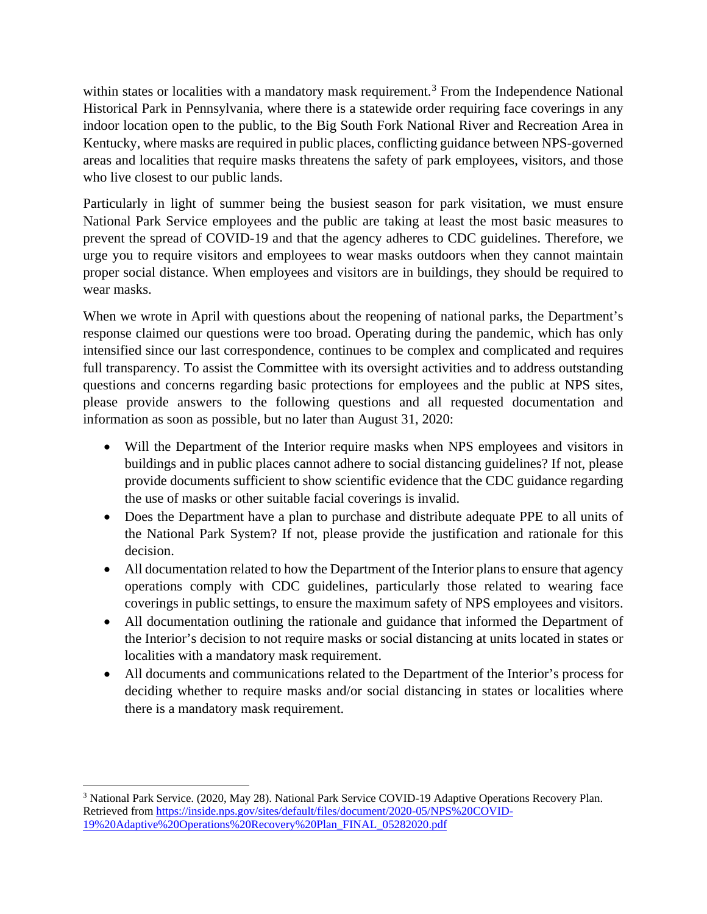within states or localities with a mandatory mask requirement.<sup>[3](#page-1-0)</sup> From the Independence National Historical Park in Pennsylvania, where there is a statewide order requiring face coverings in any indoor location open to the public, to the Big South Fork National River and Recreation Area in Kentucky, where masks are required in public places, conflicting guidance between NPS-governed areas and localities that require masks threatens the safety of park employees, visitors, and those who live closest to our public lands.

Particularly in light of summer being the busiest season for park visitation, we must ensure National Park Service employees and the public are taking at least the most basic measures to prevent the spread of COVID-19 and that the agency adheres to CDC guidelines. Therefore, we urge you to require visitors and employees to wear masks outdoors when they cannot maintain proper social distance. When employees and visitors are in buildings, they should be required to wear masks.

When we wrote in April with questions about the reopening of national parks, the Department's response claimed our questions were too broad. Operating during the pandemic, which has only intensified since our last correspondence, continues to be complex and complicated and requires full transparency. To assist the Committee with its oversight activities and to address outstanding questions and concerns regarding basic protections for employees and the public at NPS sites, please provide answers to the following questions and all requested documentation and information as soon as possible, but no later than August 31, 2020:

- Will the Department of the Interior require masks when NPS employees and visitors in buildings and in public places cannot adhere to social distancing guidelines? If not, please provide documents sufficient to show scientific evidence that the CDC guidance regarding the use of masks or other suitable facial coverings is invalid.
- Does the Department have a plan to purchase and distribute adequate PPE to all units of the National Park System? If not, please provide the justification and rationale for this decision.
- All documentation related to how the Department of the Interior plans to ensure that agency operations comply with CDC guidelines, particularly those related to wearing face coverings in public settings, to ensure the maximum safety of NPS employees and visitors.
- All documentation outlining the rationale and guidance that informed the Department of the Interior's decision to not require masks or social distancing at units located in states or localities with a mandatory mask requirement.
- All documents and communications related to the Department of the Interior's process for deciding whether to require masks and/or social distancing in states or localities where there is a mandatory mask requirement.

<span id="page-1-0"></span><sup>3</sup> National Park Service. (2020, May 28). National Park Service COVID-19 Adaptive Operations Recovery Plan. Retrieved from [https://inside.nps.gov/sites/default/files/document/2020-05/NPS%20COVID-](https://inside.nps.gov/sites/default/files/document/2020-05/NPS%20COVID-19%20Adaptive%20Operations%20Recovery%20Plan_FINAL_05282020.pdf)[19%20Adaptive%20Operations%20Recovery%20Plan\\_FINAL\\_05282020.pdf](https://inside.nps.gov/sites/default/files/document/2020-05/NPS%20COVID-19%20Adaptive%20Operations%20Recovery%20Plan_FINAL_05282020.pdf)